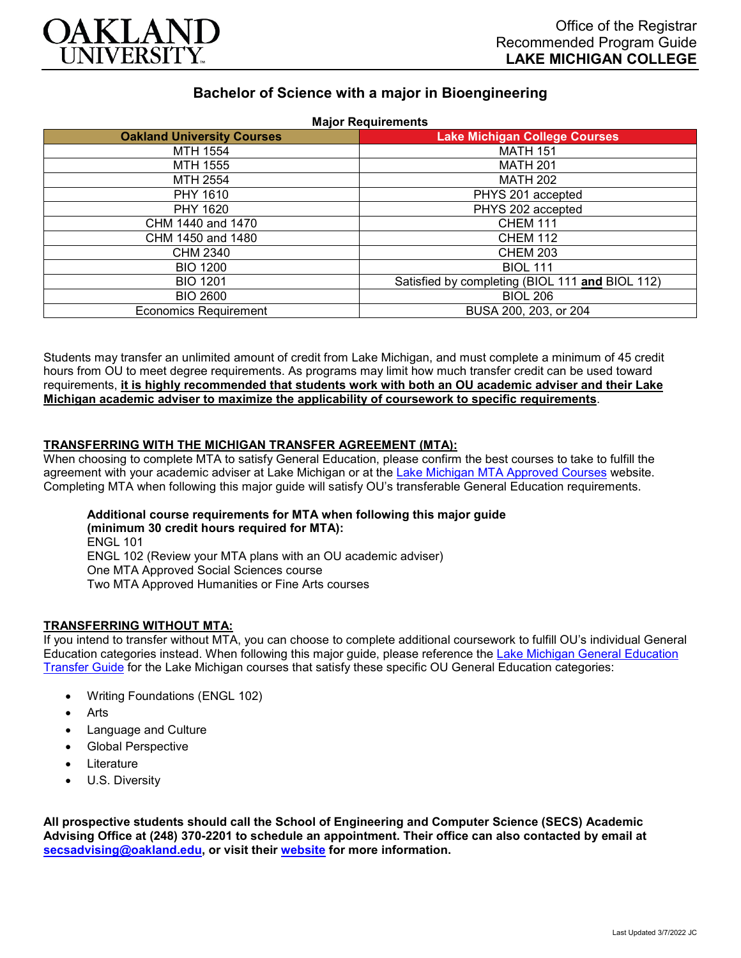

# **Bachelor of Science with a major in Bioengineering**

| <b>Oakland University Courses</b> | <b>Lake Michigan College Courses</b>            |
|-----------------------------------|-------------------------------------------------|
| MTH 1554                          | <b>MATH 151</b>                                 |
| MTH 1555                          | <b>MATH 201</b>                                 |
| MTH 2554                          | <b>MATH 202</b>                                 |
| PHY 1610                          | PHYS 201 accepted                               |
| PHY 1620                          | PHYS 202 accepted                               |
| CHM 1440 and 1470                 | <b>CHEM 111</b>                                 |
| CHM 1450 and 1480                 | <b>CHEM 112</b>                                 |
| CHM 2340                          | <b>CHEM 203</b>                                 |
| <b>BIO 1200</b>                   | <b>BIOL 111</b>                                 |
| <b>BIO 1201</b>                   | Satisfied by completing (BIOL 111 and BIOL 112) |
| <b>BIO 2600</b>                   | <b>BIOL 206</b>                                 |
| <b>Economics Requirement</b>      | BUSA 200, 203, or 204                           |

Students may transfer an unlimited amount of credit from Lake Michigan, and must complete a minimum of 45 credit hours from OU to meet degree requirements. As programs may limit how much transfer credit can be used toward requirements, **it is highly recommended that students work with both an OU academic adviser and their Lake Michigan academic adviser to maximize the applicability of coursework to specific requirements**.

## **TRANSFERRING WITH THE MICHIGAN TRANSFER AGREEMENT (MTA):**

When choosing to complete MTA to satisfy General Education, please confirm the best courses to take to fulfill the agreement with your academic adviser at Lake Michigan or at the [Lake Michigan MTA Approved Courses](https://www.lakemichigancollege.edu/academics/educational-goals/transfer/transfer-information) website. Completing MTA when following this major guide will satisfy OU's transferable General Education requirements.

**Additional course requirements for MTA when following this major guide (minimum 30 credit hours required for MTA):** ENGL 101 ENGL 102 (Review your MTA plans with an OU academic adviser) One MTA Approved Social Sciences course Two MTA Approved Humanities or Fine Arts courses

#### **TRANSFERRING WITHOUT MTA:**

If you intend to transfer without MTA, you can choose to complete additional coursework to fulfill OU's individual General Education categories instead. When following this major guide, please reference the [Lake Michigan General Education](https://www.oakland.edu/Assets/Oakland/program-guides/lake-michigan-college/university-general-education-requirements/Lake%20Michigan%20Gen%20Ed.pdf)  [Transfer Guide](https://www.oakland.edu/Assets/Oakland/program-guides/lake-michigan-college/university-general-education-requirements/Lake%20Michigan%20Gen%20Ed.pdf) for the Lake Michigan courses that satisfy these specific OU General Education categories:

- Writing Foundations (ENGL 102)
- **Arts**
- Language and Culture
- Global Perspective
- **Literature**
- U.S. Diversity

**All prospective students should call the School of Engineering and Computer Science (SECS) Academic Advising Office at (248) 370-2201 to schedule an appointment. Their office can also contacted by email at [secsadvising@oakland.edu,](mailto:secsadvising@oakland.edu) or visit their [website](https://wwwp.oakland.edu/secs/advising/) for more information.**